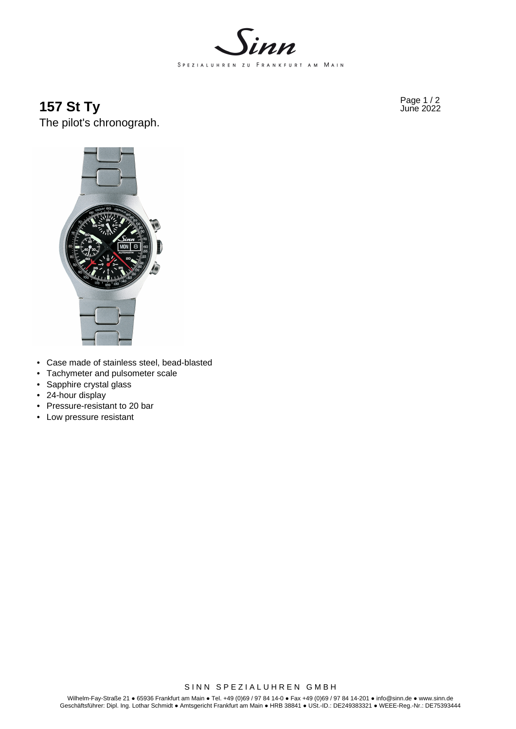

**157 St Ty** Page 1/2 June 2022 The pilot's chronograph.



- Case made of stainless steel, bead-blasted
- Tachymeter and pulsometer scale
- Sapphire crystal glass
- 24-hour display
- Pressure-resistant to 20 bar
- Low pressure resistant